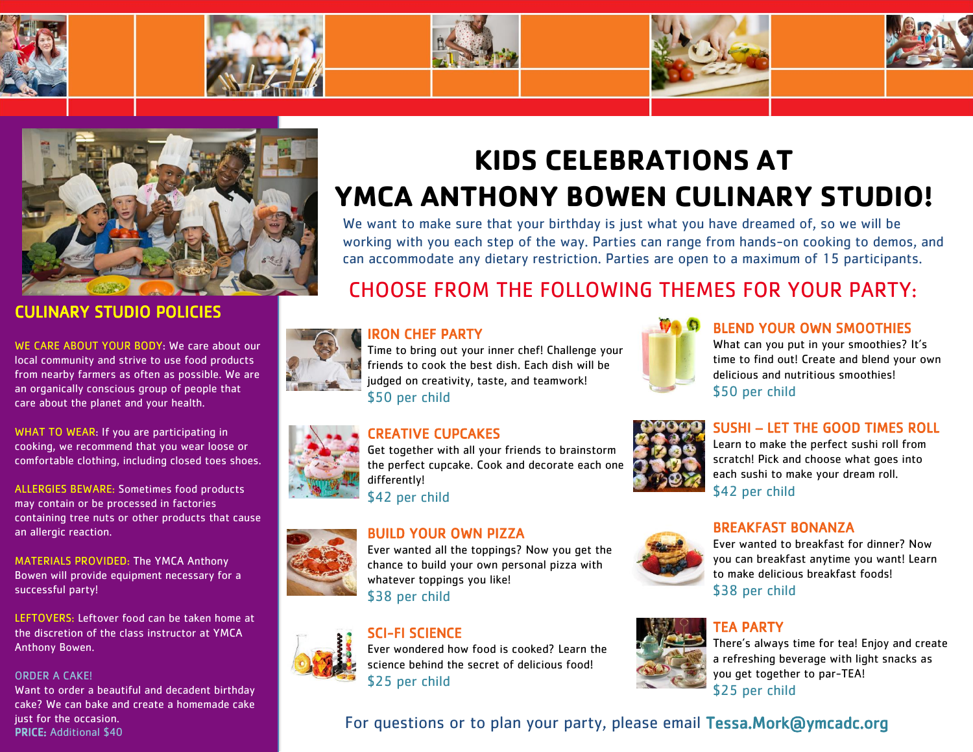



## CULINARY STUDIO POLICIES

WE CARE ABOUT YOUR BODY: We care about our local community and strive to use food products from nearby farmers as often as possible. We are an organically conscious group of people that care about the planet and your health.

WHAT TO WEAR: If you are participating in cooking, we recommend that you wear loose or comfortable clothing, including closed toes shoes.

ALLERGIES BEWARE: Sometimes food products may contain or be processed in factories containing tree nuts or other products that cause an allergic reaction.

MATERIALS PROVIDED: The YMCA Anthony Bowen will provide equipment necessary for a successful party!

LEFTOVERS: Leftover food can be taken home at the discretion of the class instructor at YMCA Anthony Bowen.

#### ORDER A CAKE!

Want to order a beautiful and decadent birthday cake? We can bake and create a homemade cake just for the occasion.

# **KIDS CELEBRATIONS AT YMCA ANTHONY BOWEN CULINARY STUDIO!**

We want to make sure that your birthday is just what you have dreamed of, so we will be working with you each step of the way. Parties can range from hands-on cooking to demos, and can accommodate any dietary restriction. Parties are open to a maximum of 15 participants.

## CHOOSE FROM THE FOLLOWING THEMES FOR YOUR PARTY:



## IRON CHEF PARTY

Time to bring out your inner chef! Challenge your friends to cook the best dish. Each dish will be judged on creativity, taste, and teamwork! \$50 per child



## BLEND YOUR OWN SMOOTHIES

What can you put in your smoothies? It's time to find out! Create and blend your own delicious and nutritious smoothies! \$50 per child

## CREATIVE CUPCAKES

Get together with all your friends to brainstorm the perfect cupcake. Cook and decorate each one differently!

\$42 per child

## BUILD YOUR OWN PIZZA

Ever wanted all the toppings? Now you get the chance to build your own personal pizza with whatever toppings you like! \$38 per child



Ever wondered how food is cooked? Learn the science behind the secret of delicious food! \$25 per child



## SUSHI – LET THE GOOD TIMES ROLL

Learn to make the perfect sushi roll from scratch! Pick and choose what goes into each sushi to make your dream roll. \$42 per child

## BREAKFAST BONANZA



## TEA PARTY

There's always time for tea! Enjoy and create a refreshing beverage with light snacks as you get together to par-TEA! \$25 per child





just for the occasion.<br>PRICE: Additional \$40 For questions or to plan your party, please email Tessa.Mork@ymcadc.org